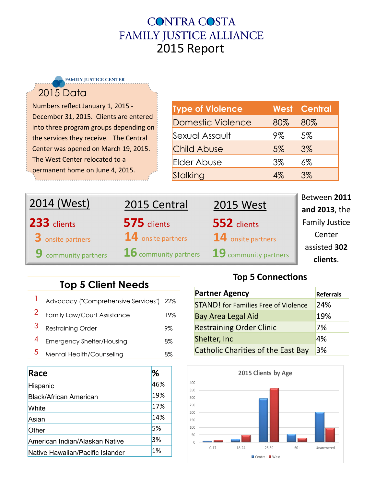## **CONTRA COSTA** FAMILY JUSTICE ALLIANCE 2015 Report

| <b>FAMILY JUSTICE CENTER</b>                                                     |                          |       |                     |
|----------------------------------------------------------------------------------|--------------------------|-------|---------------------|
| <b>2015 Data</b>                                                                 |                          |       |                     |
| Numbers reflect January 1, 2015 -                                                | <b>Type of Violence</b>  |       | <b>West Central</b> |
| December 31, 2015. Clients are entered<br>into three program groups depending on | <b>Domestic Violence</b> | 80%   | 80%                 |
| the services they receive. The Central                                           | Sexual Assault           | 9%    | 5%                  |
| Center was opened on March 19, 2015.                                             | <b>Child Abuse</b>       | $5\%$ | $3\%$               |
| The West Center relocated to a                                                   | Elder Abuse              | $3\%$ | $6\%$               |
| permanent home on June 4, 2015.                                                  | Stalking                 | $4\%$ | $3\%$               |
|                                                                                  |                          |       |                     |

| 2014 (West)                 | 2015 Central            | <b>2015 West</b>      | Between 2011<br>and 2013, the |
|-----------------------------|-------------------------|-----------------------|-------------------------------|
| 233 clients                 | 575 clients             | 552 clients           | <b>Family Justice</b>         |
| 3 onsite partners           | 14 onsite partners      | 14 onsite partners    | Center                        |
| <b>9</b> community partners | $16$ community partners | 19 community partners | assisted 302                  |
|                             |                         |                       | clients.                      |

## **Top 5 Client Needs**

------

| Advocacy ("Comprehensive Services") 22% |     |
|-----------------------------------------|-----|
| Family Law/Court Assistance             | 19% |
| 3 Restraining Order                     | 9%  |
| 4 Emergency Shelter/Housing             | 8%  |
| Mental Health/Counseling                | 8%  |
|                                         |     |

| Race                             | ℅   |
|----------------------------------|-----|
| Hispanic                         | 46% |
| Black/African American           | 19% |
| White                            | 17% |
| Asian                            | 14% |
| Other                            | 5%  |
| American Indian/Alaskan Native   | 3%  |
| Native Hawaiian/Pacific Islander | 1%  |

## **Top 5 Connections**

| <b>Partner Agency</b>                       | <b>Referrals</b> |  |
|---------------------------------------------|------------------|--|
| <b>STAND!</b> for Families Free of Violence | 24%              |  |
| <b>Bay Area Legal Aid</b>                   | 19%              |  |
| <b>Restraining Order Clinic</b>             | 7%               |  |
| Shelter, Inc                                | 4%               |  |
| <b>Catholic Charities of the East Bay</b>   | 3%               |  |